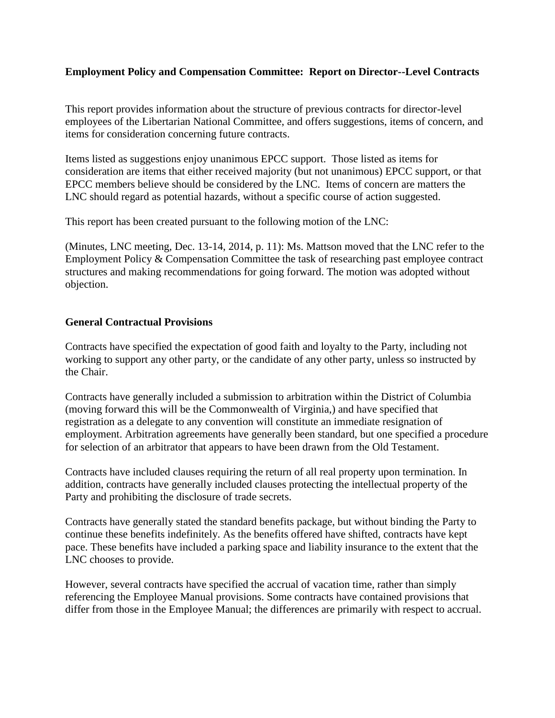# **Employment Policy and Compensation Committee: Report on Director--Level Contracts**

This report provides information about the structure of previous contracts for director-level employees of the Libertarian National Committee, and offers suggestions, items of concern, and items for consideration concerning future contracts.

Items listed as suggestions enjoy unanimous EPCC support. Those listed as items for consideration are items that either received majority (but not unanimous) EPCC support, or that EPCC members believe should be considered by the LNC. Items of concern are matters the LNC should regard as potential hazards, without a specific course of action suggested.

This report has been created pursuant to the following motion of the LNC:

(Minutes, LNC meeting, Dec. 13-14, 2014, p. 11): Ms. Mattson moved that the LNC refer to the Employment Policy & Compensation Committee the task of researching past employee contract structures and making recommendations for going forward. The motion was adopted without objection.

#### **General Contractual Provisions**

Contracts have specified the expectation of good faith and loyalty to the Party, including not working to support any other party, or the candidate of any other party, unless so instructed by the Chair.

Contracts have generally included a submission to arbitration within the District of Columbia (moving forward this will be the Commonwealth of Virginia,) and have specified that registration as a delegate to any convention will constitute an immediate resignation of employment. Arbitration agreements have generally been standard, but one specified a procedure for selection of an arbitrator that appears to have been drawn from the Old Testament.

Contracts have included clauses requiring the return of all real property upon termination. In addition, contracts have generally included clauses protecting the intellectual property of the Party and prohibiting the disclosure of trade secrets.

Contracts have generally stated the standard benefits package, but without binding the Party to continue these benefits indefinitely. As the benefits offered have shifted, contracts have kept pace. These benefits have included a parking space and liability insurance to the extent that the LNC chooses to provide.

However, several contracts have specified the accrual of vacation time, rather than simply referencing the Employee Manual provisions. Some contracts have contained provisions that differ from those in the Employee Manual; the differences are primarily with respect to accrual.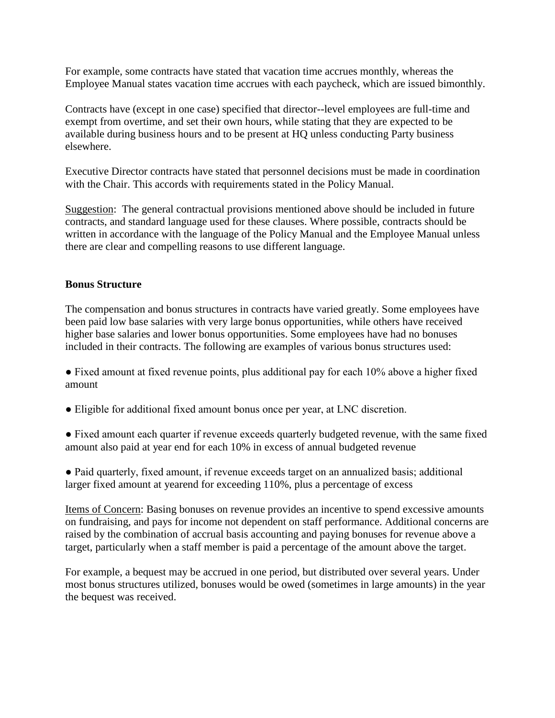For example, some contracts have stated that vacation time accrues monthly, whereas the Employee Manual states vacation time accrues with each paycheck, which are issued bimonthly.

Contracts have (except in one case) specified that director--level employees are full-time and exempt from overtime, and set their own hours, while stating that they are expected to be available during business hours and to be present at HQ unless conducting Party business elsewhere.

Executive Director contracts have stated that personnel decisions must be made in coordination with the Chair. This accords with requirements stated in the Policy Manual.

Suggestion: The general contractual provisions mentioned above should be included in future contracts, and standard language used for these clauses. Where possible, contracts should be written in accordance with the language of the Policy Manual and the Employee Manual unless there are clear and compelling reasons to use different language.

### **Bonus Structure**

The compensation and bonus structures in contracts have varied greatly. Some employees have been paid low base salaries with very large bonus opportunities, while others have received higher base salaries and lower bonus opportunities. Some employees have had no bonuses included in their contracts. The following are examples of various bonus structures used:

- Fixed amount at fixed revenue points, plus additional pay for each 10% above a higher fixed amount
- Eligible for additional fixed amount bonus once per year, at LNC discretion.
- Fixed amount each quarter if revenue exceeds quarterly budgeted revenue, with the same fixed amount also paid at year end for each 10% in excess of annual budgeted revenue

• Paid quarterly, fixed amount, if revenue exceeds target on an annualized basis; additional larger fixed amount at yearend for exceeding 110%, plus a percentage of excess

Items of Concern: Basing bonuses on revenue provides an incentive to spend excessive amounts on fundraising, and pays for income not dependent on staff performance. Additional concerns are raised by the combination of accrual basis accounting and paying bonuses for revenue above a target, particularly when a staff member is paid a percentage of the amount above the target.

For example, a bequest may be accrued in one period, but distributed over several years. Under most bonus structures utilized, bonuses would be owed (sometimes in large amounts) in the year the bequest was received.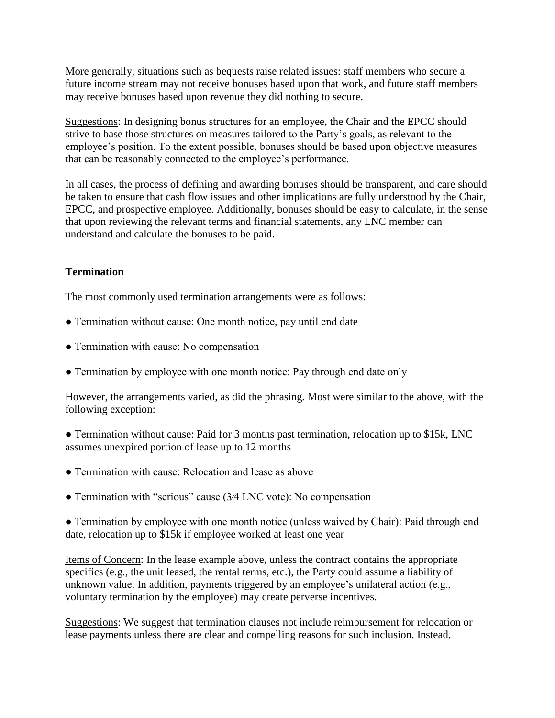More generally, situations such as bequests raise related issues: staff members who secure a future income stream may not receive bonuses based upon that work, and future staff members may receive bonuses based upon revenue they did nothing to secure.

Suggestions: In designing bonus structures for an employee, the Chair and the EPCC should strive to base those structures on measures tailored to the Party's goals, as relevant to the employee's position. To the extent possible, bonuses should be based upon objective measures that can be reasonably connected to the employee's performance.

In all cases, the process of defining and awarding bonuses should be transparent, and care should be taken to ensure that cash flow issues and other implications are fully understood by the Chair, EPCC, and prospective employee. Additionally, bonuses should be easy to calculate, in the sense that upon reviewing the relevant terms and financial statements, any LNC member can understand and calculate the bonuses to be paid.

# **Termination**

The most commonly used termination arrangements were as follows:

- Termination without cause: One month notice, pay until end date
- Termination with cause: No compensation
- Termination by employee with one month notice: Pay through end date only

However, the arrangements varied, as did the phrasing. Most were similar to the above, with the following exception:

• Termination without cause: Paid for 3 months past termination, relocation up to \$15k, LNC assumes unexpired portion of lease up to 12 months

- Termination with cause: Relocation and lease as above
- Termination with "serious" cause (3∕4 LNC vote): No compensation

● Termination by employee with one month notice (unless waived by Chair): Paid through end date, relocation up to \$15k if employee worked at least one year

Items of Concern: In the lease example above, unless the contract contains the appropriate specifics (e.g., the unit leased, the rental terms, etc.), the Party could assume a liability of unknown value. In addition, payments triggered by an employee's unilateral action (e.g., voluntary termination by the employee) may create perverse incentives.

Suggestions: We suggest that termination clauses not include reimbursement for relocation or lease payments unless there are clear and compelling reasons for such inclusion. Instead,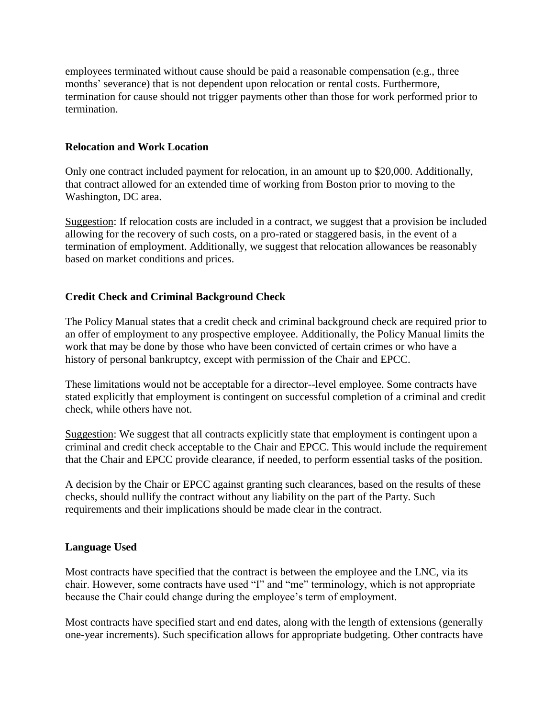employees terminated without cause should be paid a reasonable compensation (e.g., three months' severance) that is not dependent upon relocation or rental costs. Furthermore, termination for cause should not trigger payments other than those for work performed prior to termination.

## **Relocation and Work Location**

Only one contract included payment for relocation, in an amount up to \$20,000. Additionally, that contract allowed for an extended time of working from Boston prior to moving to the Washington, DC area.

Suggestion: If relocation costs are included in a contract, we suggest that a provision be included allowing for the recovery of such costs, on a pro-rated or staggered basis, in the event of a termination of employment. Additionally, we suggest that relocation allowances be reasonably based on market conditions and prices.

### **Credit Check and Criminal Background Check**

The Policy Manual states that a credit check and criminal background check are required prior to an offer of employment to any prospective employee. Additionally, the Policy Manual limits the work that may be done by those who have been convicted of certain crimes or who have a history of personal bankruptcy, except with permission of the Chair and EPCC.

These limitations would not be acceptable for a director--level employee. Some contracts have stated explicitly that employment is contingent on successful completion of a criminal and credit check, while others have not.

Suggestion: We suggest that all contracts explicitly state that employment is contingent upon a criminal and credit check acceptable to the Chair and EPCC. This would include the requirement that the Chair and EPCC provide clearance, if needed, to perform essential tasks of the position.

A decision by the Chair or EPCC against granting such clearances, based on the results of these checks, should nullify the contract without any liability on the part of the Party. Such requirements and their implications should be made clear in the contract.

#### **Language Used**

Most contracts have specified that the contract is between the employee and the LNC, via its chair. However, some contracts have used "I" and "me" terminology, which is not appropriate because the Chair could change during the employee's term of employment.

Most contracts have specified start and end dates, along with the length of extensions (generally one-year increments). Such specification allows for appropriate budgeting. Other contracts have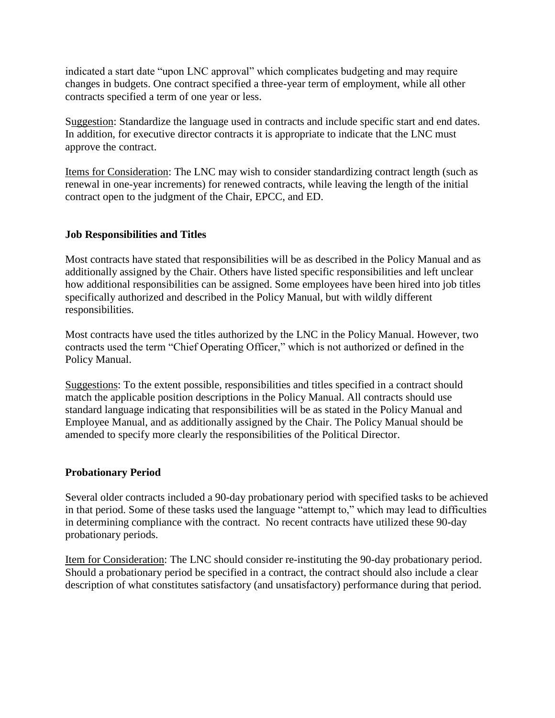indicated a start date "upon LNC approval" which complicates budgeting and may require changes in budgets. One contract specified a three-year term of employment, while all other contracts specified a term of one year or less.

Suggestion: Standardize the language used in contracts and include specific start and end dates. In addition, for executive director contracts it is appropriate to indicate that the LNC must approve the contract.

Items for Consideration: The LNC may wish to consider standardizing contract length (such as renewal in one-year increments) for renewed contracts, while leaving the length of the initial contract open to the judgment of the Chair, EPCC, and ED.

# **Job Responsibilities and Titles**

Most contracts have stated that responsibilities will be as described in the Policy Manual and as additionally assigned by the Chair. Others have listed specific responsibilities and left unclear how additional responsibilities can be assigned. Some employees have been hired into job titles specifically authorized and described in the Policy Manual, but with wildly different responsibilities.

Most contracts have used the titles authorized by the LNC in the Policy Manual. However, two contracts used the term "Chief Operating Officer," which is not authorized or defined in the Policy Manual.

Suggestions: To the extent possible, responsibilities and titles specified in a contract should match the applicable position descriptions in the Policy Manual. All contracts should use standard language indicating that responsibilities will be as stated in the Policy Manual and Employee Manual, and as additionally assigned by the Chair. The Policy Manual should be amended to specify more clearly the responsibilities of the Political Director.

#### **Probationary Period**

Several older contracts included a 90-day probationary period with specified tasks to be achieved in that period. Some of these tasks used the language "attempt to," which may lead to difficulties in determining compliance with the contract. No recent contracts have utilized these 90-day probationary periods.

Item for Consideration: The LNC should consider re-instituting the 90-day probationary period. Should a probationary period be specified in a contract, the contract should also include a clear description of what constitutes satisfactory (and unsatisfactory) performance during that period.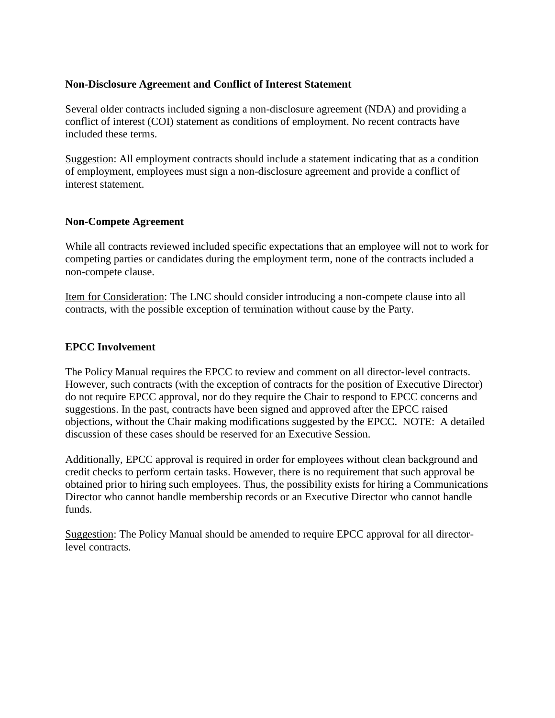#### **Non-Disclosure Agreement and Conflict of Interest Statement**

Several older contracts included signing a non-disclosure agreement (NDA) and providing a conflict of interest (COI) statement as conditions of employment. No recent contracts have included these terms.

Suggestion: All employment contracts should include a statement indicating that as a condition of employment, employees must sign a non-disclosure agreement and provide a conflict of interest statement.

### **Non-Compete Agreement**

While all contracts reviewed included specific expectations that an employee will not to work for competing parties or candidates during the employment term, none of the contracts included a non-compete clause.

Item for Consideration: The LNC should consider introducing a non-compete clause into all contracts, with the possible exception of termination without cause by the Party.

# **EPCC Involvement**

The Policy Manual requires the EPCC to review and comment on all director-level contracts. However, such contracts (with the exception of contracts for the position of Executive Director) do not require EPCC approval, nor do they require the Chair to respond to EPCC concerns and suggestions. In the past, contracts have been signed and approved after the EPCC raised objections, without the Chair making modifications suggested by the EPCC. NOTE: A detailed discussion of these cases should be reserved for an Executive Session.

Additionally, EPCC approval is required in order for employees without clean background and credit checks to perform certain tasks. However, there is no requirement that such approval be obtained prior to hiring such employees. Thus, the possibility exists for hiring a Communications Director who cannot handle membership records or an Executive Director who cannot handle funds.

Suggestion: The Policy Manual should be amended to require EPCC approval for all directorlevel contracts.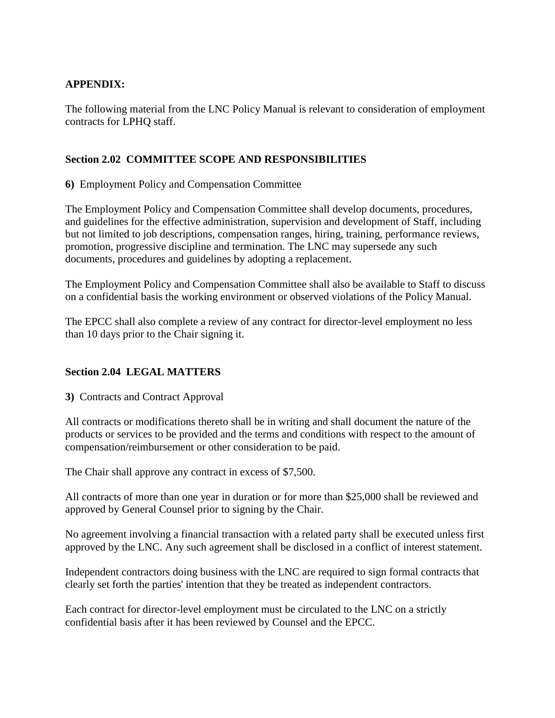# **APPENDIX:**

The following material from the LNC Policy Manual is relevant to consideration of employment contracts for LPHQ staff.

## **Section 2.02 COMMITTEE SCOPE AND RESPONSIBILITIES**

**6)** Employment Policy and Compensation Committee

The Employment Policy and Compensation Committee shall develop documents, procedures, and guidelines for the effective administration, supervision and development of Staff, including but not limited to job descriptions, compensation ranges, hiring, training, performance reviews, promotion, progressive discipline and termination. The LNC may supersede any such documents, procedures and guidelines by adopting a replacement.

The Employment Policy and Compensation Committee shall also be available to Staff to discuss on a confidential basis the working environment or observed violations of the Policy Manual.

The EPCC shall also complete a review of any contract for director-level employment no less than 10 days prior to the Chair signing it.

# **Section 2.04 LEGAL MATTERS**

**3)** Contracts and Contract Approval

All contracts or modifications thereto shall be in writing and shall document the nature of the products or services to be provided and the terms and conditions with respect to the amount of compensation/reimbursement or other consideration to be paid.

The Chair shall approve any contract in excess of \$7,500.

All contracts of more than one year in duration or for more than \$25,000 shall be reviewed and approved by General Counsel prior to signing by the Chair.

No agreement involving a financial transaction with a related party shall be executed unless first approved by the LNC. Any such agreement shall be disclosed in a conflict of interest statement.

Independent contractors doing business with the LNC are required to sign formal contracts that clearly set forth the parties' intention that they be treated as independent contractors.

Each contract for director-level employment must be circulated to the LNC on a strictly confidential basis after it has been reviewed by Counsel and the EPCC.